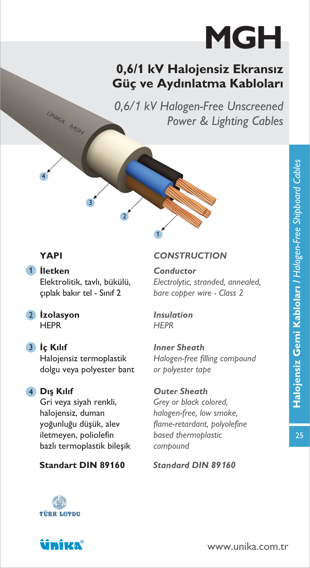# MGH

## 0,6/1 kV Halojensiz Ekransız Güç ve Aydınlatma Kabloları

0,6/*1* kV Halogen-Free Unscreened Power & Lighting Cables

4

UNIKA MON

1 lletken Elektrolitik, tavlı, bükülü, cıplak bakır tel - Sınıf 2

3

2 Izolasyon **HFPR** 

#### 3 lç Kılıf

Halojensiz termoplastik dolgu veya polyester bant

### 4 Dış Kılıf

Gri veya siyah renkli, halojensiz, duman yoğunluğu düşük, alev iletmeyen, poliolefin bazlı termoplastik bileşik

#### Standart DIN 89**1**60 Standard DIN 89*1*60

#### **YAPI** CONSTRUCTION

Conductor Electrolytic, stranded, annealed, bare copper wire - Class 2

Insulation **HFPR** 

1

2

Inner Sheath Halogen-free filling compound or polyester tape

Outer Sheath Grey or black colored, halogen-free, low smoke, flame-retardant, polyolefine based thermoplastic compound